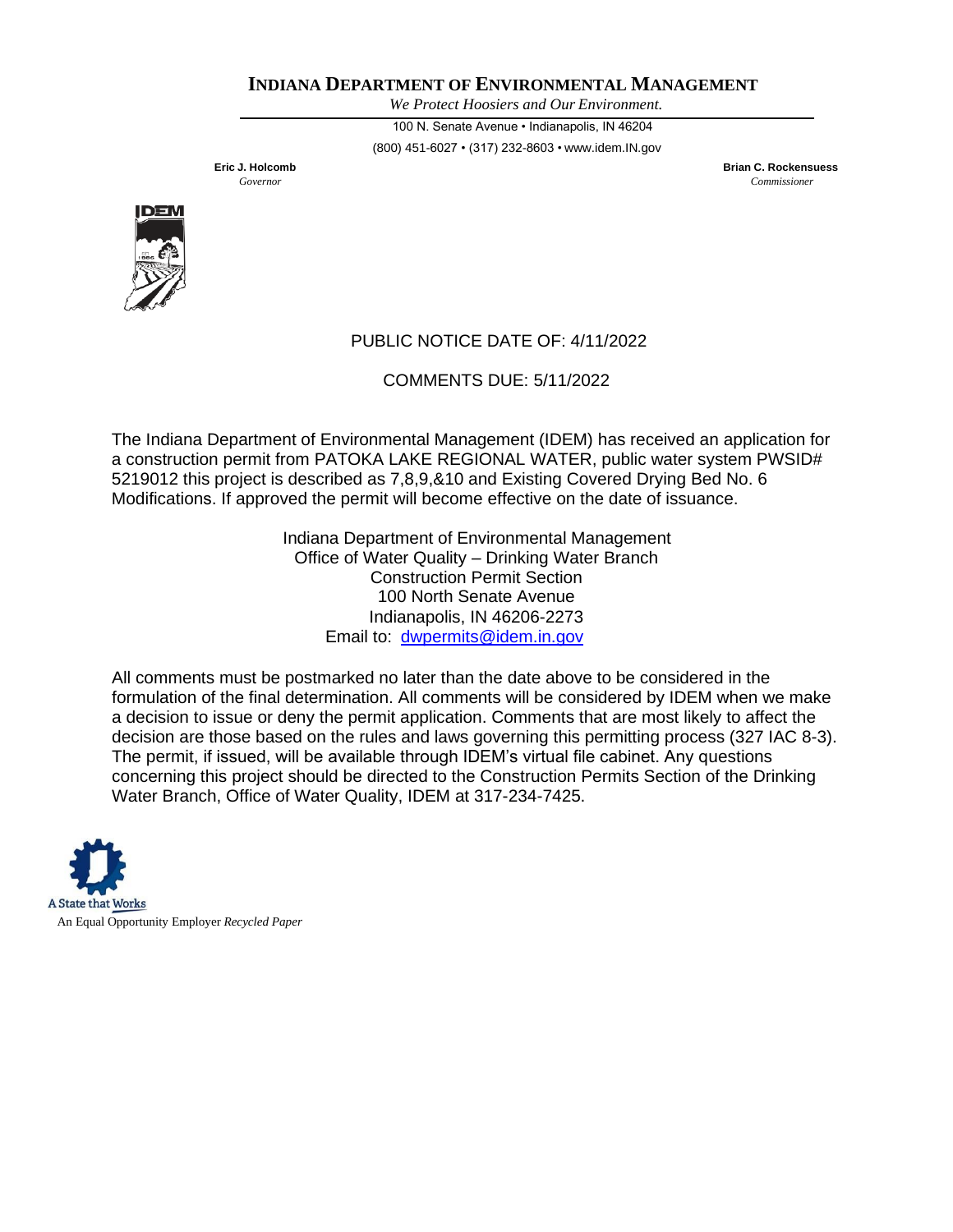*We Protect Hoosiers and Our Environment.*

100 N. Senate Avenue • Indianapolis, IN 46204 (800) 451-6027 • (317) 232-8603 • [www.idem.IN.gov](http://www.idem.in.gov/)

**Eric J. Holcomb Brian C. Rockensuess** *Governor Commissioner*



# PUBLIC NOTICE DATE OF: 4/11/2022

COMMENTS DUE: 5/11/2022

The Indiana Department of Environmental Management (IDEM) has received an application for a construction permit from PATOKA LAKE REGIONAL WATER, public water system PWSID# 5219012 this project is described as 7,8,9,&10 and Existing Covered Drying Bed No. 6 Modifications. If approved the permit will become effective on the date of issuance.

> Indiana Department of Environmental Management Office of Water Quality – Drinking Water Branch Construction Permit Section 100 North Senate Avenue Indianapolis, IN 46206-2273 Email to: [dwpermits@idem.in.gov](mailto:dwpermits@idem.in.gov)

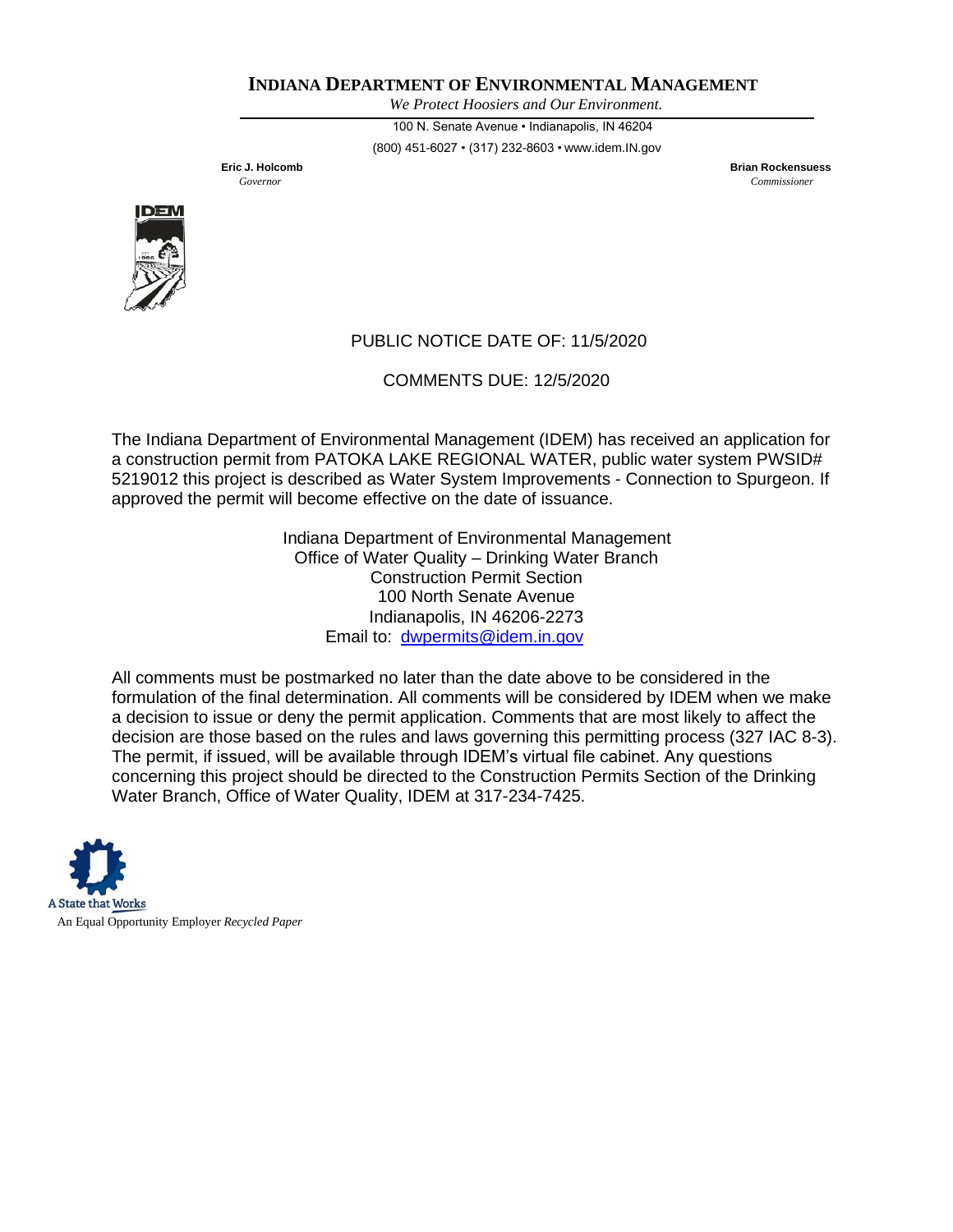*We Protect Hoosiers and Our Environment.*

100 N. Senate Avenue • Indianapolis, IN 46204 (800) 451-6027 • (317) 232-8603 • [www.idem.IN.gov](http://www.idem.in.gov/)

**Eric J. Holcomb Brian Rockensuess** *Governor Commissioner*



# PUBLIC NOTICE DATE OF: 11/5/2020

COMMENTS DUE: 12/5/2020

The Indiana Department of Environmental Management (IDEM) has received an application for a construction permit from PATOKA LAKE REGIONAL WATER, public water system PWSID# 5219012 this project is described as Water System Improvements - Connection to Spurgeon. If approved the permit will become effective on the date of issuance.

> Indiana Department of Environmental Management Office of Water Quality – Drinking Water Branch Construction Permit Section 100 North Senate Avenue Indianapolis, IN 46206-2273 Email to: [dwpermits@idem.in.gov](mailto:dwpermits@idem.in.gov)

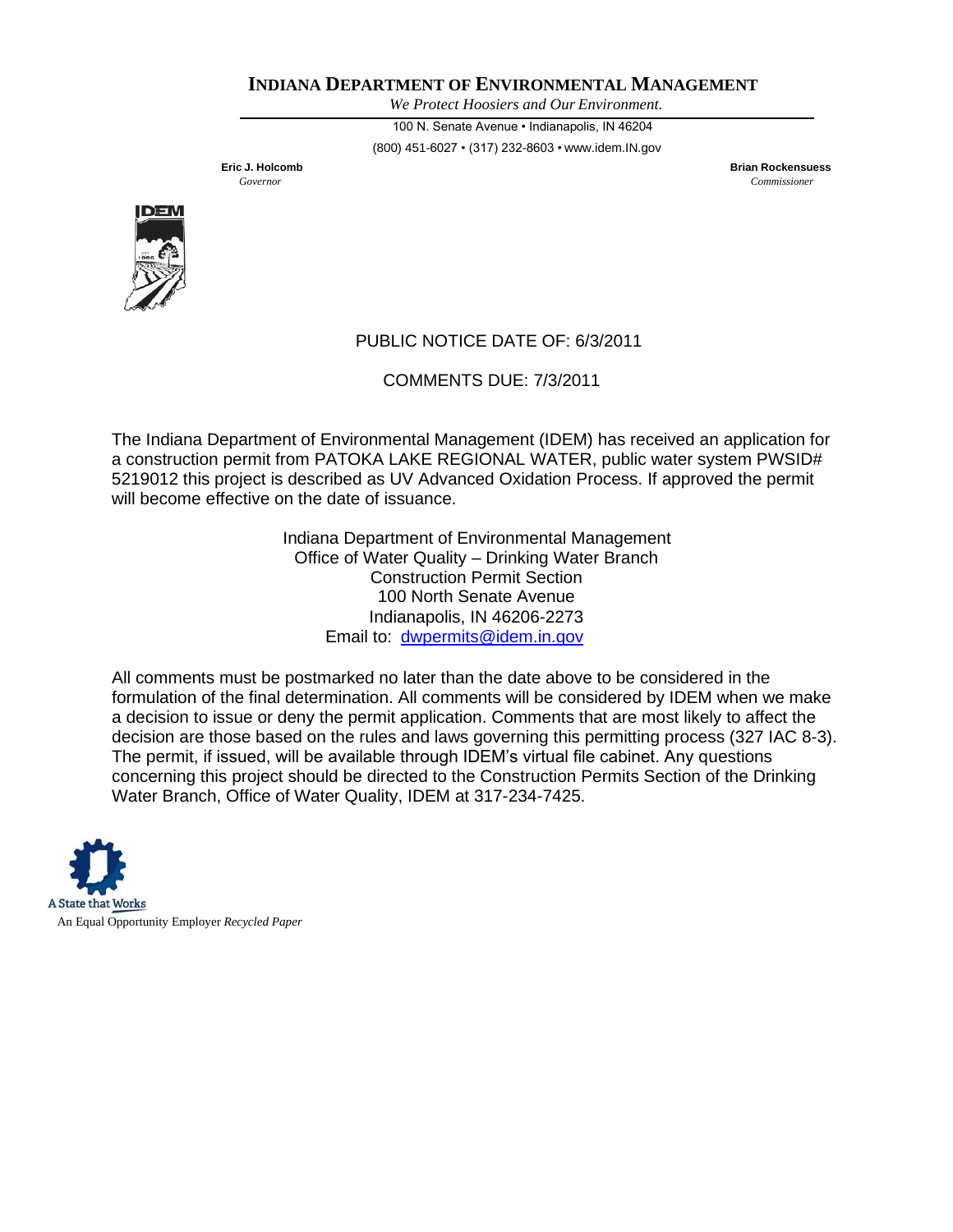*We Protect Hoosiers and Our Environment.*

100 N. Senate Avenue • Indianapolis, IN 46204 (800) 451-6027 • (317) 232-8603 • [www.idem.IN.gov](http://www.idem.in.gov/)

**Eric J. Holcomb Brian Rockensuess** *Governor Commissioner*



# PUBLIC NOTICE DATE OF: 6/3/2011

COMMENTS DUE: 7/3/2011

The Indiana Department of Environmental Management (IDEM) has received an application for a construction permit from PATOKA LAKE REGIONAL WATER, public water system PWSID# 5219012 this project is described as UV Advanced Oxidation Process. If approved the permit will become effective on the date of issuance.

> Indiana Department of Environmental Management Office of Water Quality – Drinking Water Branch Construction Permit Section 100 North Senate Avenue Indianapolis, IN 46206-2273 Email to: [dwpermits@idem.in.gov](mailto:dwpermits@idem.in.gov)

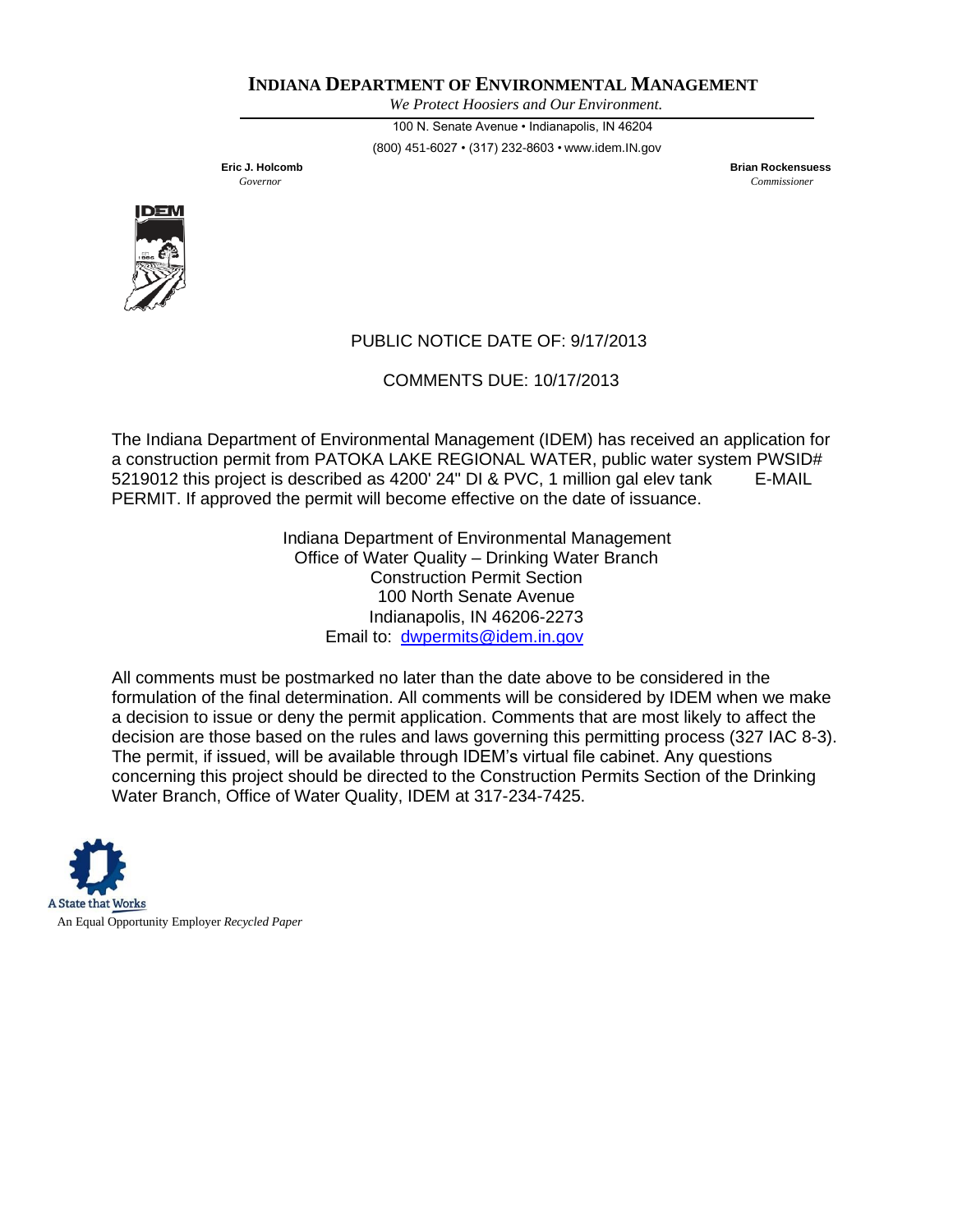*We Protect Hoosiers and Our Environment.*

100 N. Senate Avenue • Indianapolis, IN 46204 (800) 451-6027 • (317) 232-8603 • [www.idem.IN.gov](http://www.idem.in.gov/)

**Eric J. Holcomb Brian Rockensuess** *Governor Commissioner*



# PUBLIC NOTICE DATE OF: 9/17/2013

COMMENTS DUE: 10/17/2013

The Indiana Department of Environmental Management (IDEM) has received an application for a construction permit from PATOKA LAKE REGIONAL WATER, public water system PWSID# 5219012 this project is described as 4200' 24" DI & PVC, 1 million gal elev tank E-MAIL PERMIT. If approved the permit will become effective on the date of issuance.

> Indiana Department of Environmental Management Office of Water Quality – Drinking Water Branch Construction Permit Section 100 North Senate Avenue Indianapolis, IN 46206-2273 Email to: [dwpermits@idem.in.gov](mailto:dwpermits@idem.in.gov)

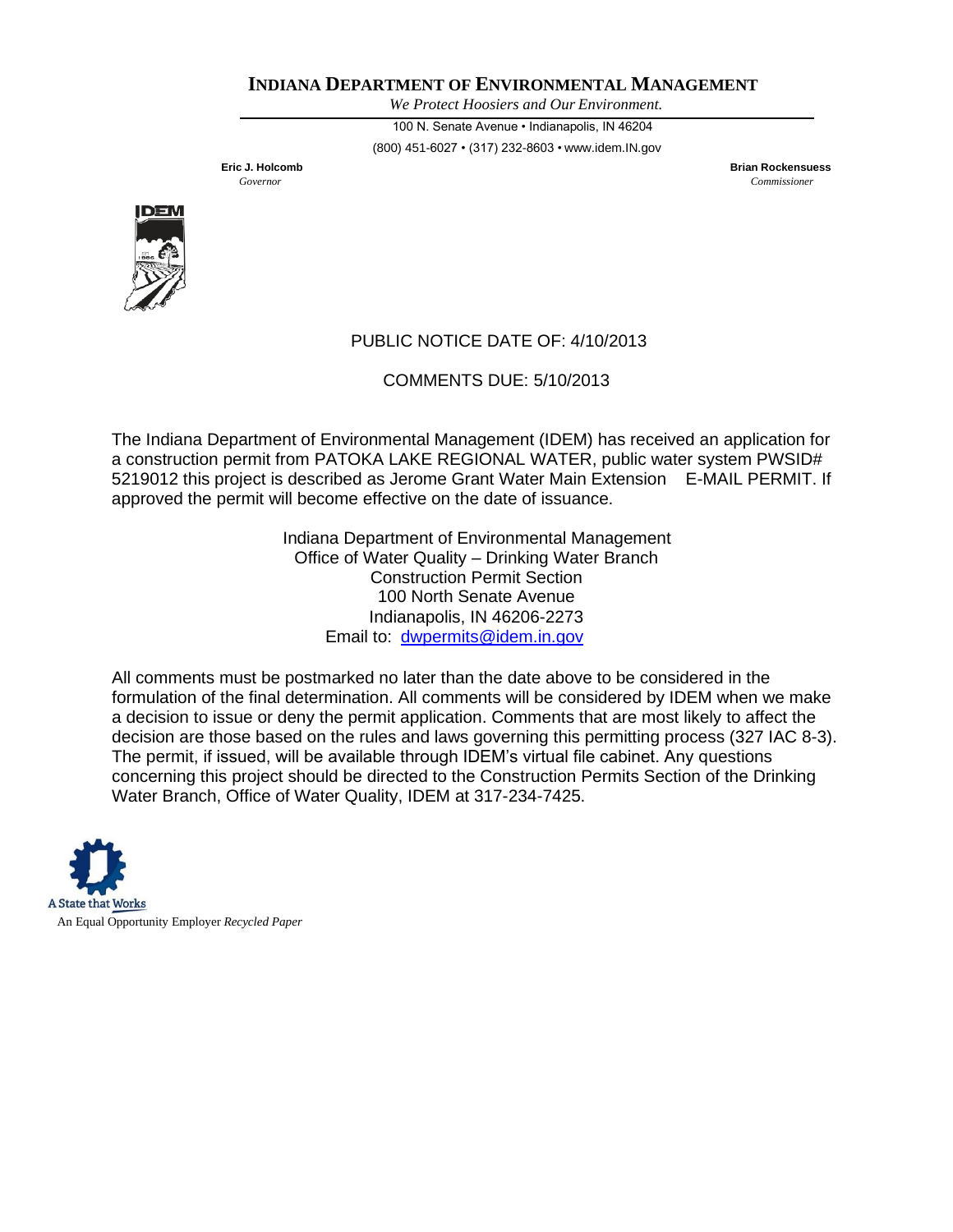*We Protect Hoosiers and Our Environment.*

100 N. Senate Avenue • Indianapolis, IN 46204 (800) 451-6027 • (317) 232-8603 • [www.idem.IN.gov](http://www.idem.in.gov/)

**Eric J. Holcomb Brian Rockensuess** *Governor Commissioner*



# PUBLIC NOTICE DATE OF: 4/10/2013

COMMENTS DUE: 5/10/2013

The Indiana Department of Environmental Management (IDEM) has received an application for a construction permit from PATOKA LAKE REGIONAL WATER, public water system PWSID# 5219012 this project is described as Jerome Grant Water Main Extension E-MAIL PERMIT. If approved the permit will become effective on the date of issuance.

> Indiana Department of Environmental Management Office of Water Quality – Drinking Water Branch Construction Permit Section 100 North Senate Avenue Indianapolis, IN 46206-2273 Email to: [dwpermits@idem.in.gov](mailto:dwpermits@idem.in.gov)

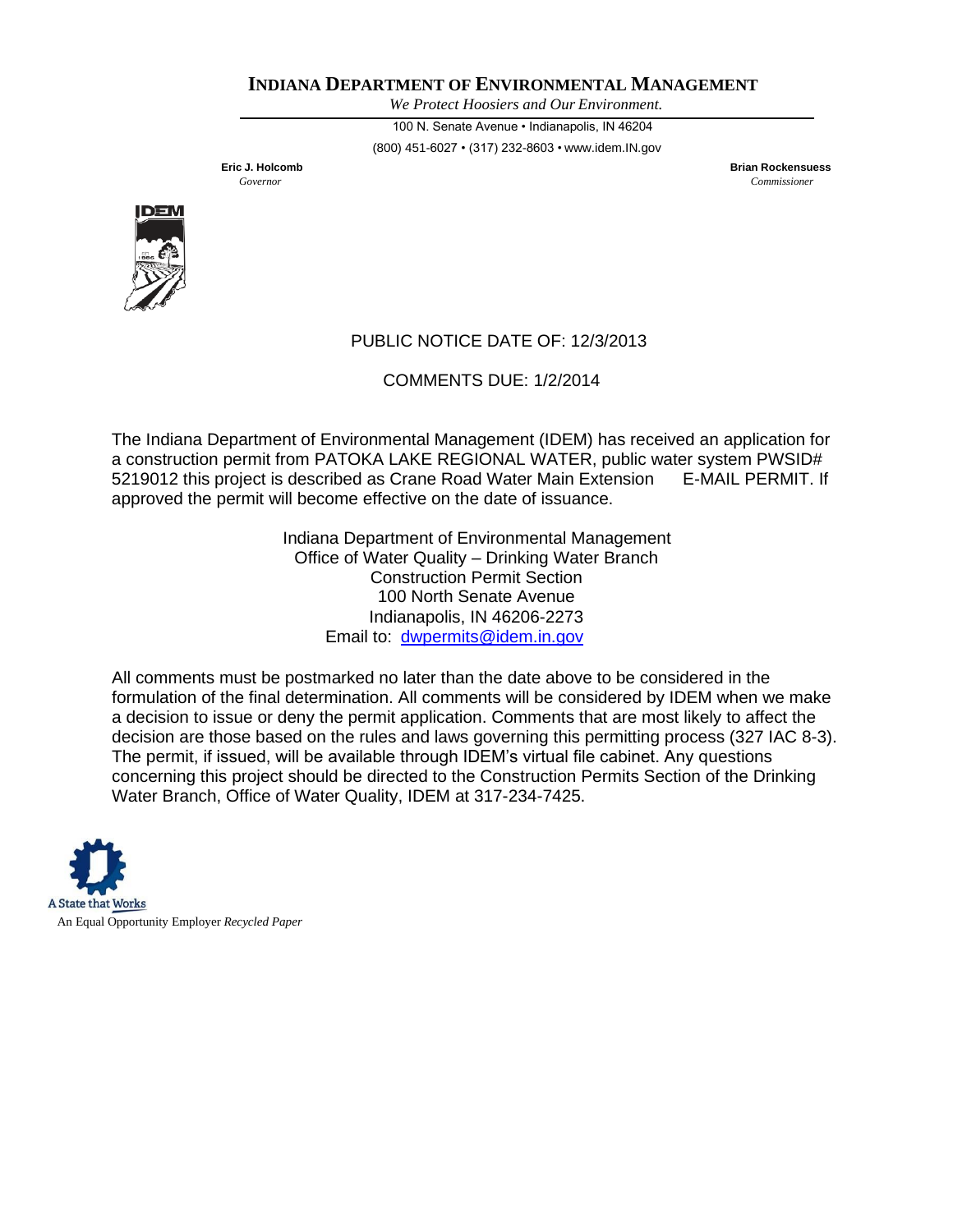*We Protect Hoosiers and Our Environment.*

100 N. Senate Avenue • Indianapolis, IN 46204 (800) 451-6027 • (317) 232-8603 • [www.idem.IN.gov](http://www.idem.in.gov/)

**Eric J. Holcomb Brian Rockensuess** *Governor Commissioner*



# PUBLIC NOTICE DATE OF: 12/3/2013

COMMENTS DUE: 1/2/2014

The Indiana Department of Environmental Management (IDEM) has received an application for a construction permit from PATOKA LAKE REGIONAL WATER, public water system PWSID# 5219012 this project is described as Crane Road Water Main Extension E-MAIL PERMIT. If approved the permit will become effective on the date of issuance.

> Indiana Department of Environmental Management Office of Water Quality – Drinking Water Branch Construction Permit Section 100 North Senate Avenue Indianapolis, IN 46206-2273 Email to: [dwpermits@idem.in.gov](mailto:dwpermits@idem.in.gov)

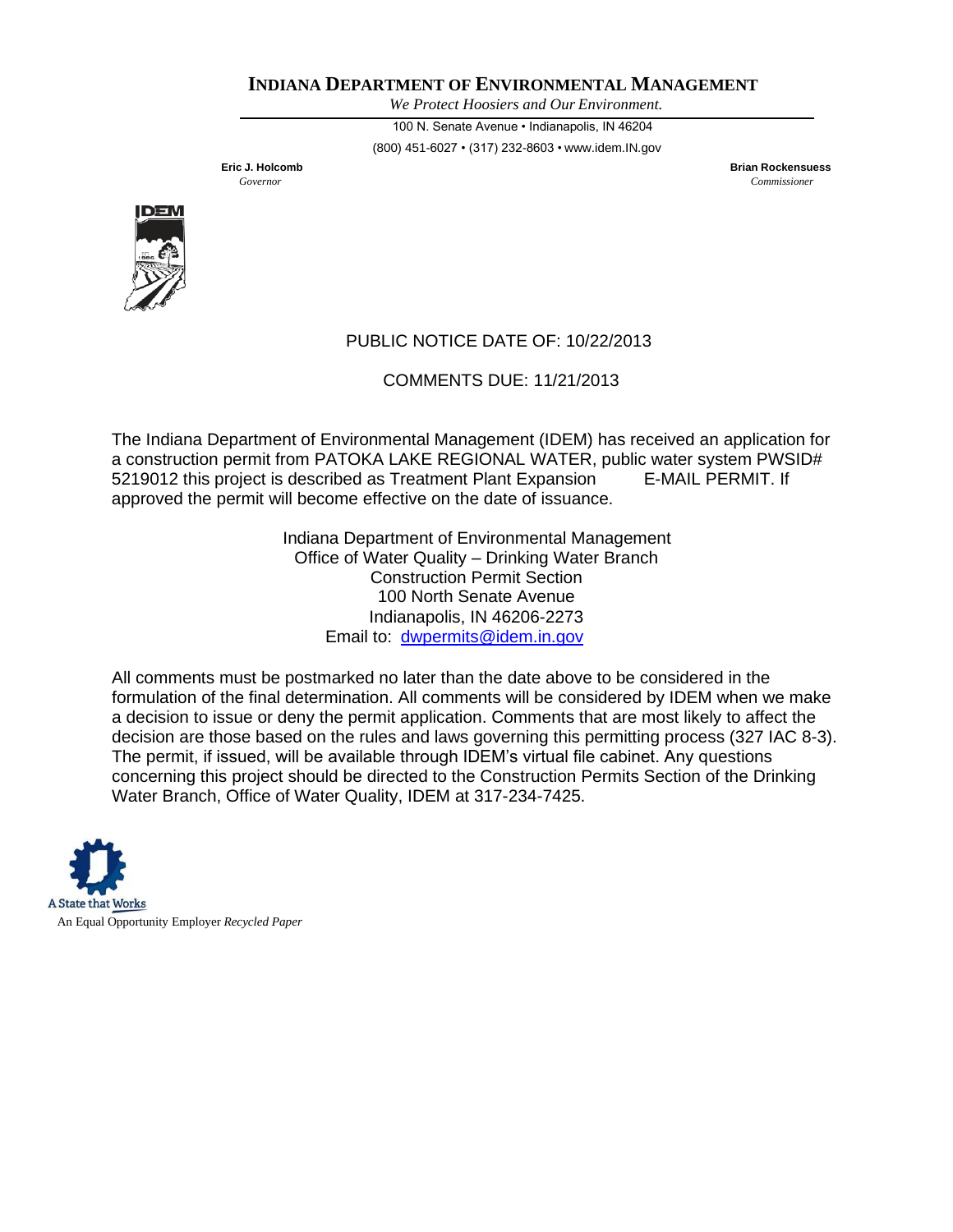*We Protect Hoosiers and Our Environment.*

100 N. Senate Avenue • Indianapolis, IN 46204 (800) 451-6027 • (317) 232-8603 • [www.idem.IN.gov](http://www.idem.in.gov/)

**Eric J. Holcomb Brian Rockensuess** *Governor Commissioner*



# PUBLIC NOTICE DATE OF: 10/22/2013

COMMENTS DUE: 11/21/2013

The Indiana Department of Environmental Management (IDEM) has received an application for a construction permit from PATOKA LAKE REGIONAL WATER, public water system PWSID# 5219012 this project is described as Treatment Plant Expansion E-MAIL PERMIT. If approved the permit will become effective on the date of issuance.

> Indiana Department of Environmental Management Office of Water Quality – Drinking Water Branch Construction Permit Section 100 North Senate Avenue Indianapolis, IN 46206-2273 Email to: [dwpermits@idem.in.gov](mailto:dwpermits@idem.in.gov)

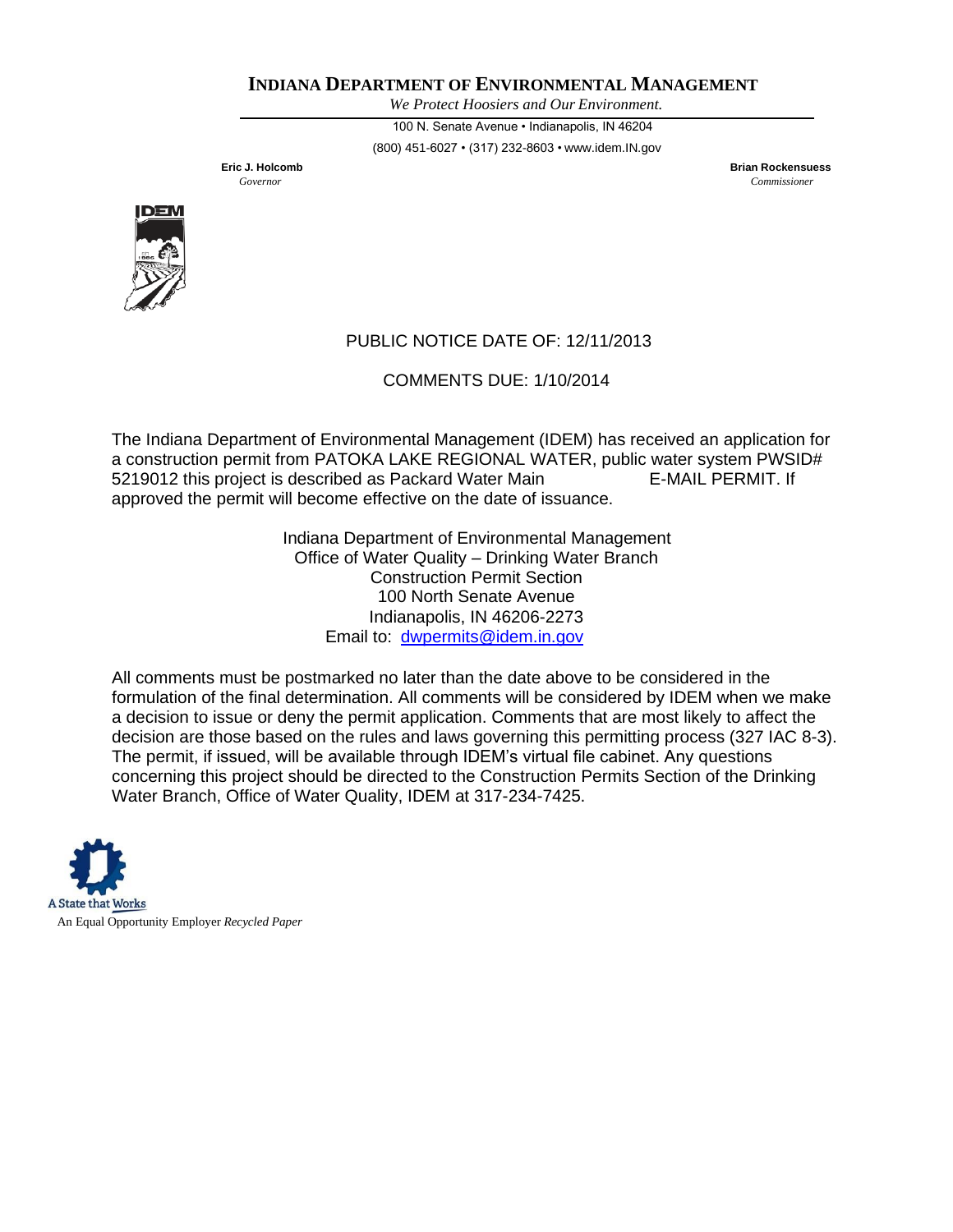*We Protect Hoosiers and Our Environment.*

100 N. Senate Avenue • Indianapolis, IN 46204 (800) 451-6027 • (317) 232-8603 • [www.idem.IN.gov](http://www.idem.in.gov/)

**Eric J. Holcomb Brian Rockensuess** *Governor Commissioner*



# PUBLIC NOTICE DATE OF: 12/11/2013

COMMENTS DUE: 1/10/2014

The Indiana Department of Environmental Management (IDEM) has received an application for a construction permit from PATOKA LAKE REGIONAL WATER, public water system PWSID# 5219012 this project is described as Packard Water Main E-MAIL PERMIT. If approved the permit will become effective on the date of issuance.

> Indiana Department of Environmental Management Office of Water Quality – Drinking Water Branch Construction Permit Section 100 North Senate Avenue Indianapolis, IN 46206-2273 Email to: [dwpermits@idem.in.gov](mailto:dwpermits@idem.in.gov)

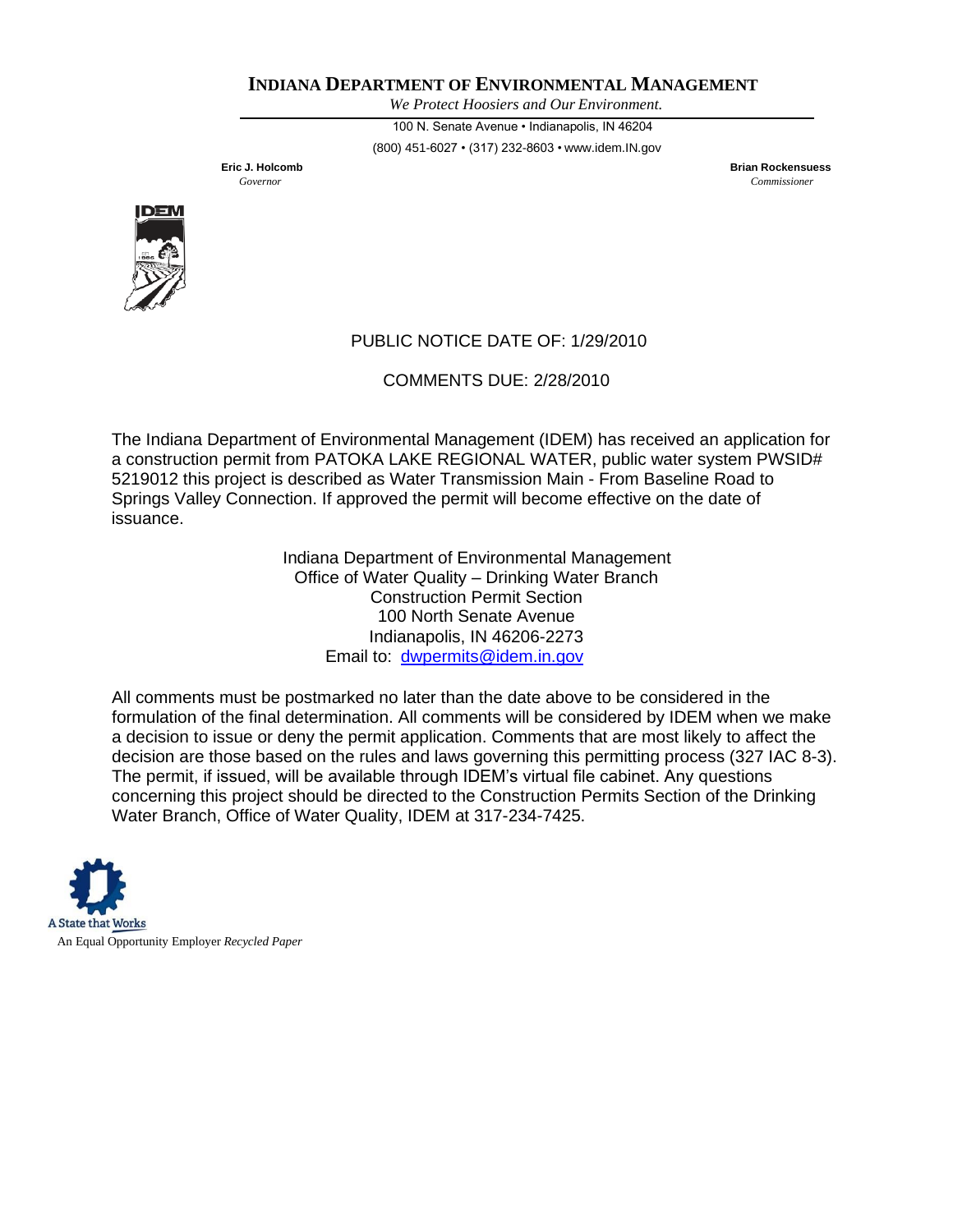*We Protect Hoosiers and Our Environment.*

100 N. Senate Avenue • Indianapolis, IN 46204 (800) 451-6027 • (317) 232-8603 • [www.idem.IN.gov](http://www.idem.in.gov/)

**Eric J. Holcomb Brian Rockensuess** *Governor Commissioner*



# PUBLIC NOTICE DATE OF: 1/29/2010

COMMENTS DUE: 2/28/2010

The Indiana Department of Environmental Management (IDEM) has received an application for a construction permit from PATOKA LAKE REGIONAL WATER, public water system PWSID# 5219012 this project is described as Water Transmission Main - From Baseline Road to Springs Valley Connection. If approved the permit will become effective on the date of issuance.

> Indiana Department of Environmental Management Office of Water Quality – Drinking Water Branch Construction Permit Section 100 North Senate Avenue Indianapolis, IN 46206-2273 Email to: [dwpermits@idem.in.gov](mailto:dwpermits@idem.in.gov)

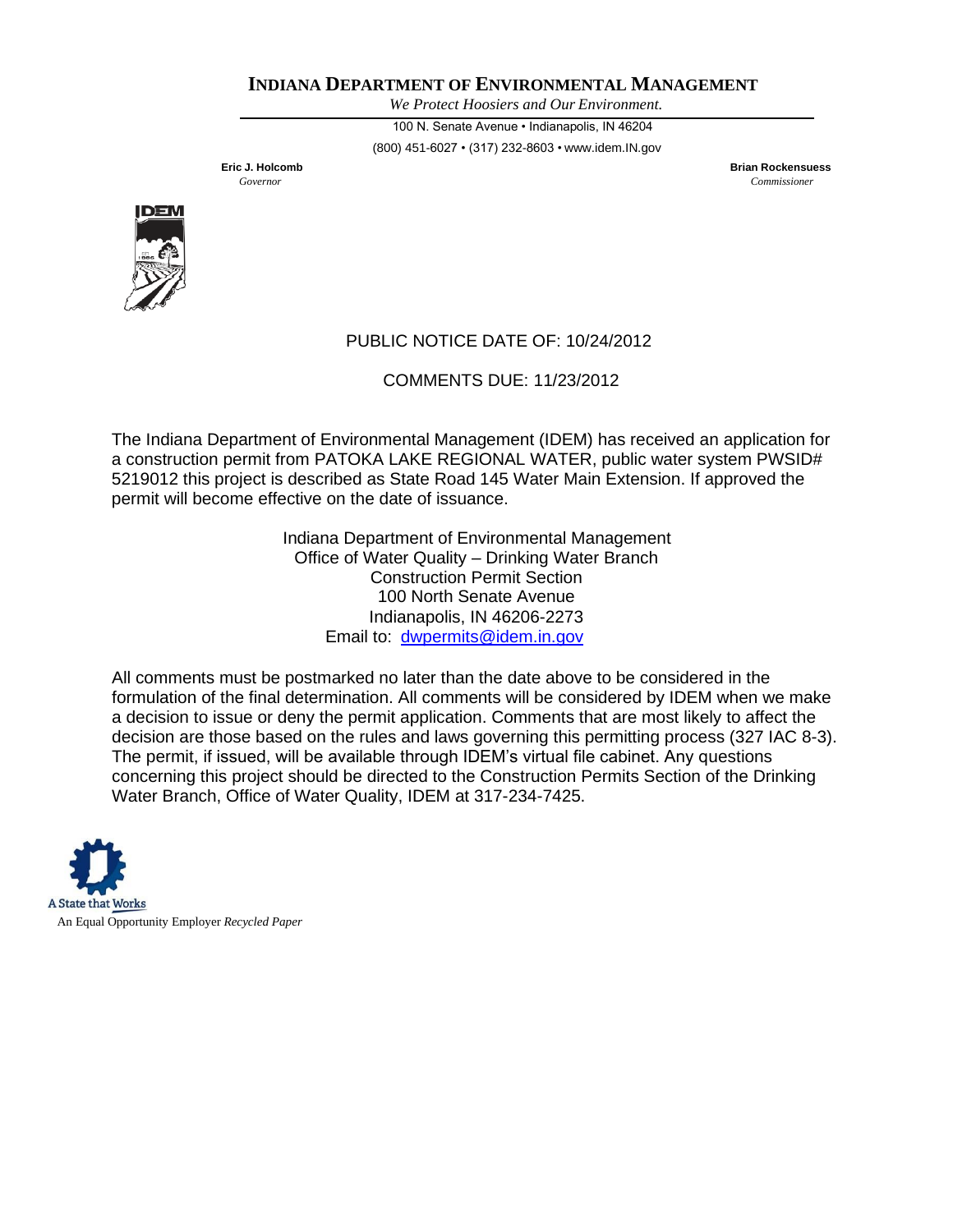*We Protect Hoosiers and Our Environment.*

100 N. Senate Avenue • Indianapolis, IN 46204 (800) 451-6027 • (317) 232-8603 • [www.idem.IN.gov](http://www.idem.in.gov/)

**Eric J. Holcomb Brian Rockensuess** *Governor Commissioner*



# PUBLIC NOTICE DATE OF: 10/24/2012

COMMENTS DUE: 11/23/2012

The Indiana Department of Environmental Management (IDEM) has received an application for a construction permit from PATOKA LAKE REGIONAL WATER, public water system PWSID# 5219012 this project is described as State Road 145 Water Main Extension. If approved the permit will become effective on the date of issuance.

> Indiana Department of Environmental Management Office of Water Quality – Drinking Water Branch Construction Permit Section 100 North Senate Avenue Indianapolis, IN 46206-2273 Email to: [dwpermits@idem.in.gov](mailto:dwpermits@idem.in.gov)

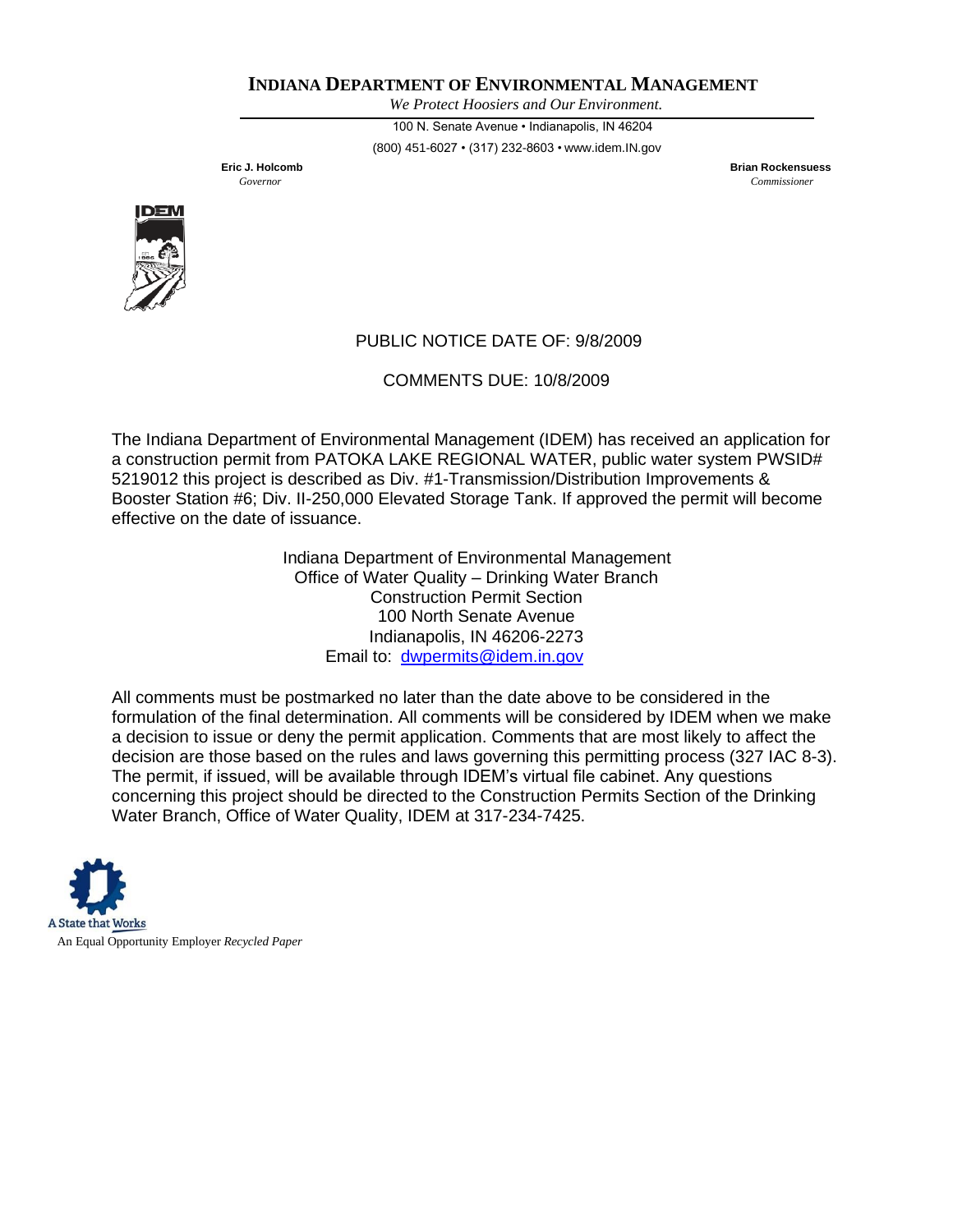*We Protect Hoosiers and Our Environment.*

100 N. Senate Avenue • Indianapolis, IN 46204 (800) 451-6027 • (317) 232-8603 • [www.idem.IN.gov](http://www.idem.in.gov/)

**Eric J. Holcomb Brian Rockensuess** *Governor Commissioner*



# PUBLIC NOTICE DATE OF: 9/8/2009

COMMENTS DUE: 10/8/2009

The Indiana Department of Environmental Management (IDEM) has received an application for a construction permit from PATOKA LAKE REGIONAL WATER, public water system PWSID# 5219012 this project is described as Div. #1-Transmission/Distribution Improvements & Booster Station #6; Div. II-250,000 Elevated Storage Tank. If approved the permit will become effective on the date of issuance.

> Indiana Department of Environmental Management Office of Water Quality – Drinking Water Branch Construction Permit Section 100 North Senate Avenue Indianapolis, IN 46206-2273 Email to: [dwpermits@idem.in.gov](mailto:dwpermits@idem.in.gov)

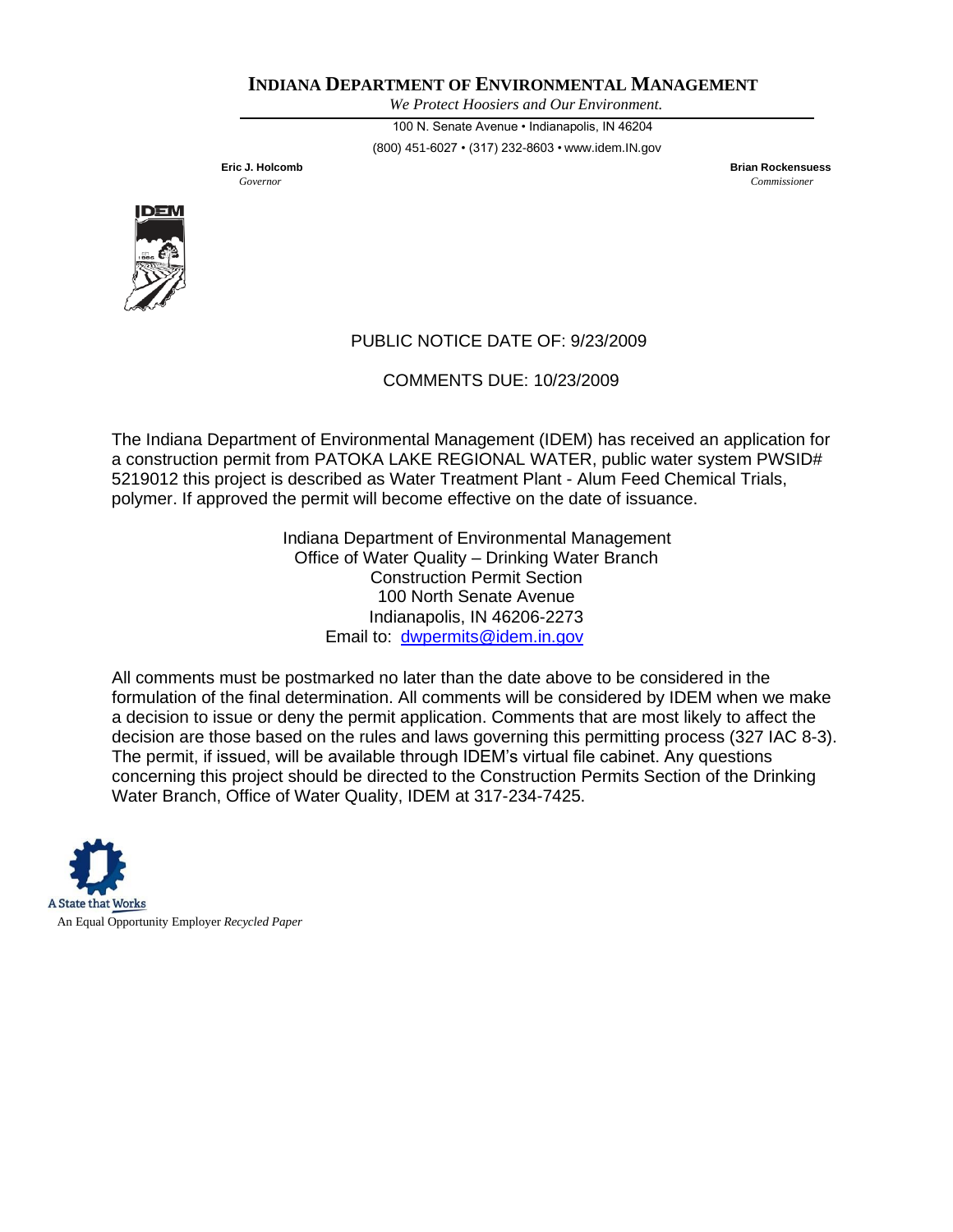*We Protect Hoosiers and Our Environment.*

100 N. Senate Avenue • Indianapolis, IN 46204 (800) 451-6027 • (317) 232-8603 • [www.idem.IN.gov](http://www.idem.in.gov/)

**Eric J. Holcomb Brian Rockensuess** *Governor Commissioner*



# PUBLIC NOTICE DATE OF: 9/23/2009

COMMENTS DUE: 10/23/2009

The Indiana Department of Environmental Management (IDEM) has received an application for a construction permit from PATOKA LAKE REGIONAL WATER, public water system PWSID# 5219012 this project is described as Water Treatment Plant - Alum Feed Chemical Trials, polymer. If approved the permit will become effective on the date of issuance.

> Indiana Department of Environmental Management Office of Water Quality – Drinking Water Branch Construction Permit Section 100 North Senate Avenue Indianapolis, IN 46206-2273 Email to: [dwpermits@idem.in.gov](mailto:dwpermits@idem.in.gov)

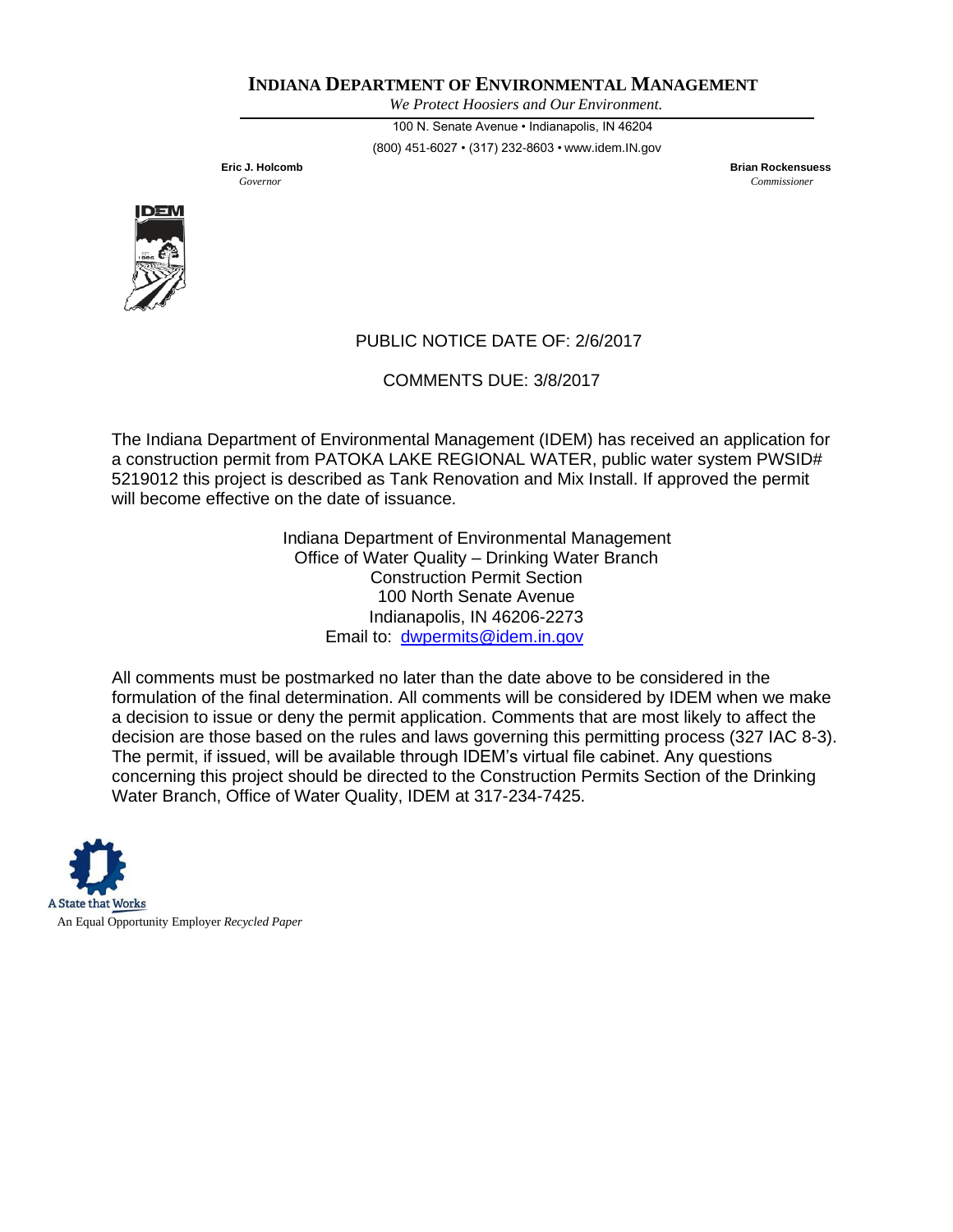*We Protect Hoosiers and Our Environment.*

100 N. Senate Avenue • Indianapolis, IN 46204 (800) 451-6027 • (317) 232-8603 • [www.idem.IN.gov](http://www.idem.in.gov/)

**Eric J. Holcomb Brian Rockensuess** *Governor Commissioner*



# PUBLIC NOTICE DATE OF: 2/6/2017

COMMENTS DUE: 3/8/2017

The Indiana Department of Environmental Management (IDEM) has received an application for a construction permit from PATOKA LAKE REGIONAL WATER, public water system PWSID# 5219012 this project is described as Tank Renovation and Mix Install. If approved the permit will become effective on the date of issuance.

> Indiana Department of Environmental Management Office of Water Quality – Drinking Water Branch Construction Permit Section 100 North Senate Avenue Indianapolis, IN 46206-2273 Email to: [dwpermits@idem.in.gov](mailto:dwpermits@idem.in.gov)

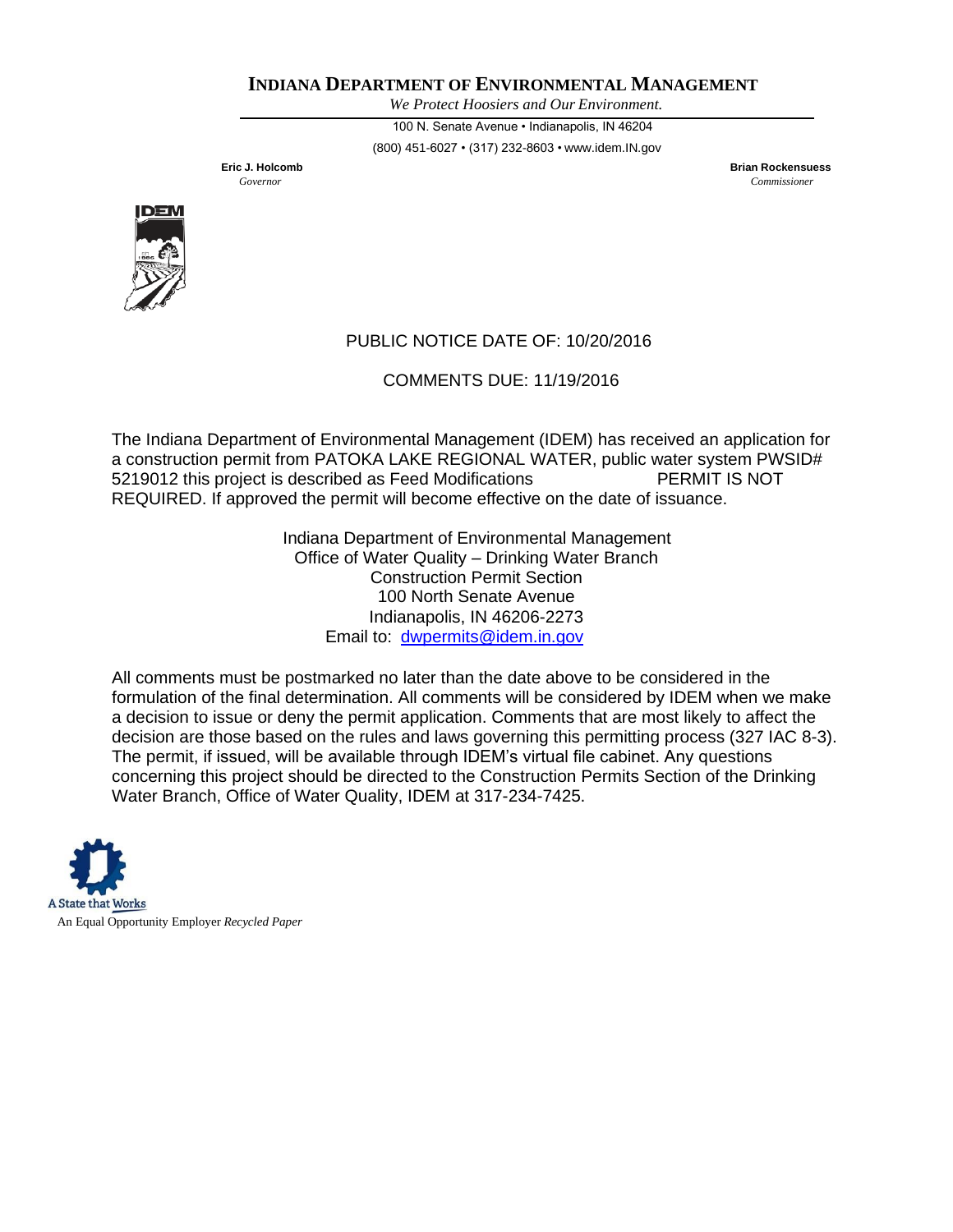*We Protect Hoosiers and Our Environment.*

100 N. Senate Avenue • Indianapolis, IN 46204 (800) 451-6027 • (317) 232-8603 • [www.idem.IN.gov](http://www.idem.in.gov/)

**Eric J. Holcomb Brian Rockensuess** *Governor Commissioner*



# PUBLIC NOTICE DATE OF: 10/20/2016

COMMENTS DUE: 11/19/2016

The Indiana Department of Environmental Management (IDEM) has received an application for a construction permit from PATOKA LAKE REGIONAL WATER, public water system PWSID# 5219012 this project is described as Feed Modifications PERMIT IS NOT REQUIRED. If approved the permit will become effective on the date of issuance.

> Indiana Department of Environmental Management Office of Water Quality – Drinking Water Branch Construction Permit Section 100 North Senate Avenue Indianapolis, IN 46206-2273 Email to: [dwpermits@idem.in.gov](mailto:dwpermits@idem.in.gov)

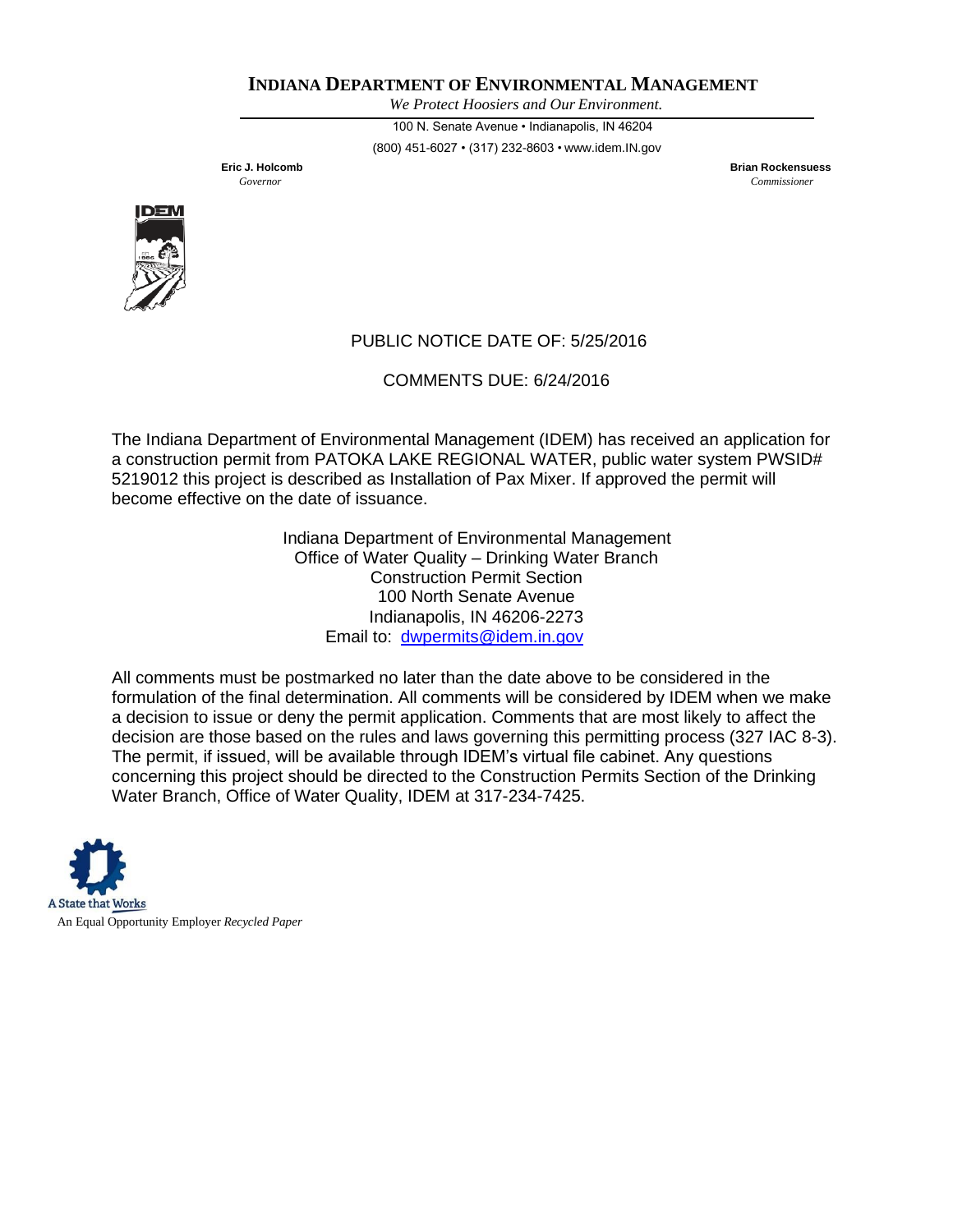*We Protect Hoosiers and Our Environment.*

100 N. Senate Avenue • Indianapolis, IN 46204 (800) 451-6027 • (317) 232-8603 • [www.idem.IN.gov](http://www.idem.in.gov/)

**Eric J. Holcomb Brian Rockensuess** *Governor Commissioner*



### PUBLIC NOTICE DATE OF: 5/25/2016

COMMENTS DUE: 6/24/2016

The Indiana Department of Environmental Management (IDEM) has received an application for a construction permit from PATOKA LAKE REGIONAL WATER, public water system PWSID# 5219012 this project is described as Installation of Pax Mixer. If approved the permit will become effective on the date of issuance.

> Indiana Department of Environmental Management Office of Water Quality – Drinking Water Branch Construction Permit Section 100 North Senate Avenue Indianapolis, IN 46206-2273 Email to: [dwpermits@idem.in.gov](mailto:dwpermits@idem.in.gov)

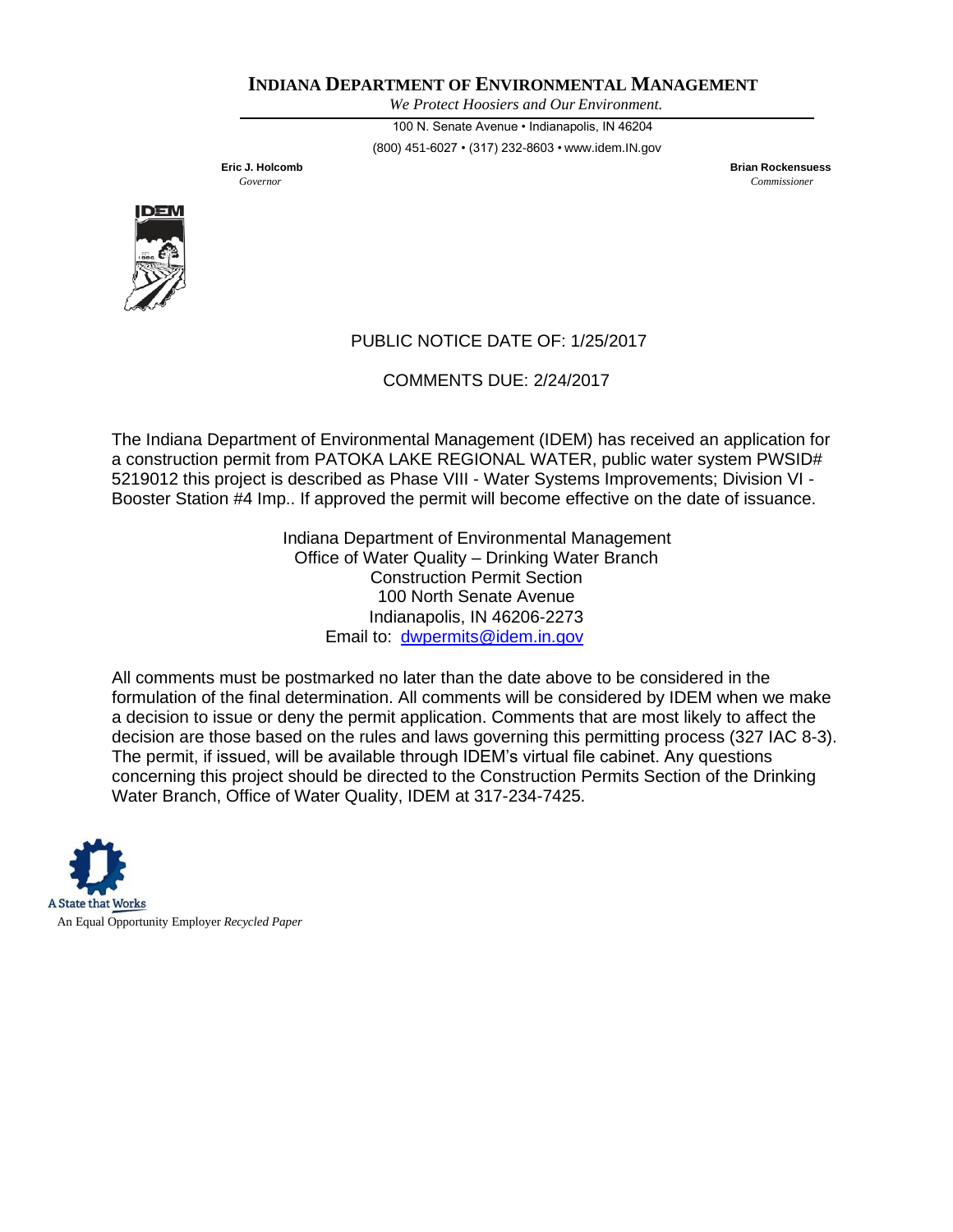*We Protect Hoosiers and Our Environment.*

100 N. Senate Avenue • Indianapolis, IN 46204 (800) 451-6027 • (317) 232-8603 • [www.idem.IN.gov](http://www.idem.in.gov/)

**Eric J. Holcomb Brian Rockensuess** *Governor Commissioner*



# PUBLIC NOTICE DATE OF: 1/25/2017

COMMENTS DUE: 2/24/2017

The Indiana Department of Environmental Management (IDEM) has received an application for a construction permit from PATOKA LAKE REGIONAL WATER, public water system PWSID# 5219012 this project is described as Phase VIII - Water Systems Improvements; Division VI - Booster Station #4 Imp.. If approved the permit will become effective on the date of issuance.

> Indiana Department of Environmental Management Office of Water Quality – Drinking Water Branch Construction Permit Section 100 North Senate Avenue Indianapolis, IN 46206-2273 Email to: [dwpermits@idem.in.gov](mailto:dwpermits@idem.in.gov)

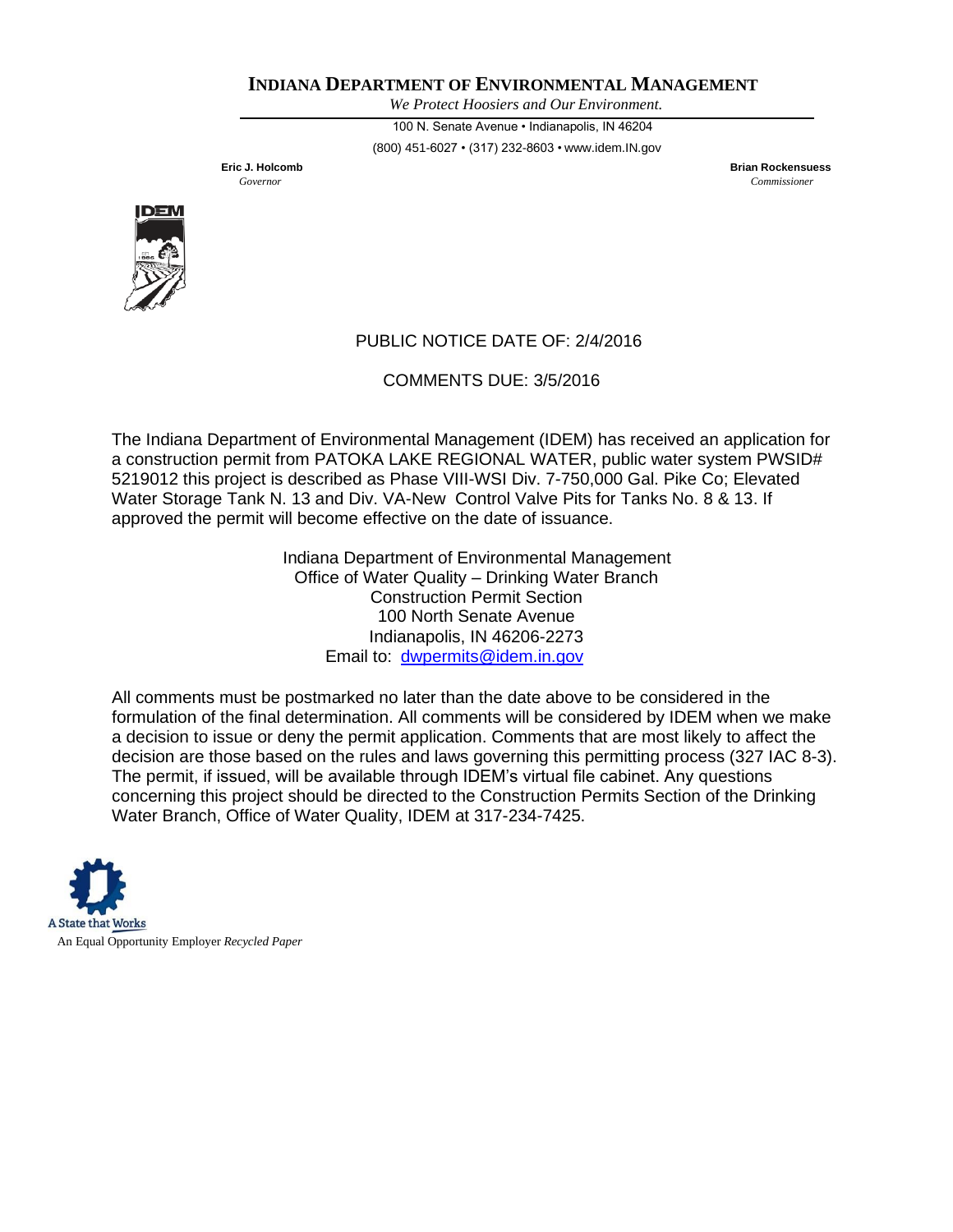*We Protect Hoosiers and Our Environment.*

100 N. Senate Avenue • Indianapolis, IN 46204 (800) 451-6027 • (317) 232-8603 • [www.idem.IN.gov](http://www.idem.in.gov/)

**Eric J. Holcomb Brian Rockensuess** *Governor Commissioner*



# PUBLIC NOTICE DATE OF: 2/4/2016

COMMENTS DUE: 3/5/2016

The Indiana Department of Environmental Management (IDEM) has received an application for a construction permit from PATOKA LAKE REGIONAL WATER, public water system PWSID# 5219012 this project is described as Phase VIII-WSI Div. 7-750,000 Gal. Pike Co; Elevated Water Storage Tank N. 13 and Div. VA-New Control Valve Pits for Tanks No. 8 & 13. If approved the permit will become effective on the date of issuance.

> Indiana Department of Environmental Management Office of Water Quality – Drinking Water Branch Construction Permit Section 100 North Senate Avenue Indianapolis, IN 46206-2273 Email to: [dwpermits@idem.in.gov](mailto:dwpermits@idem.in.gov)

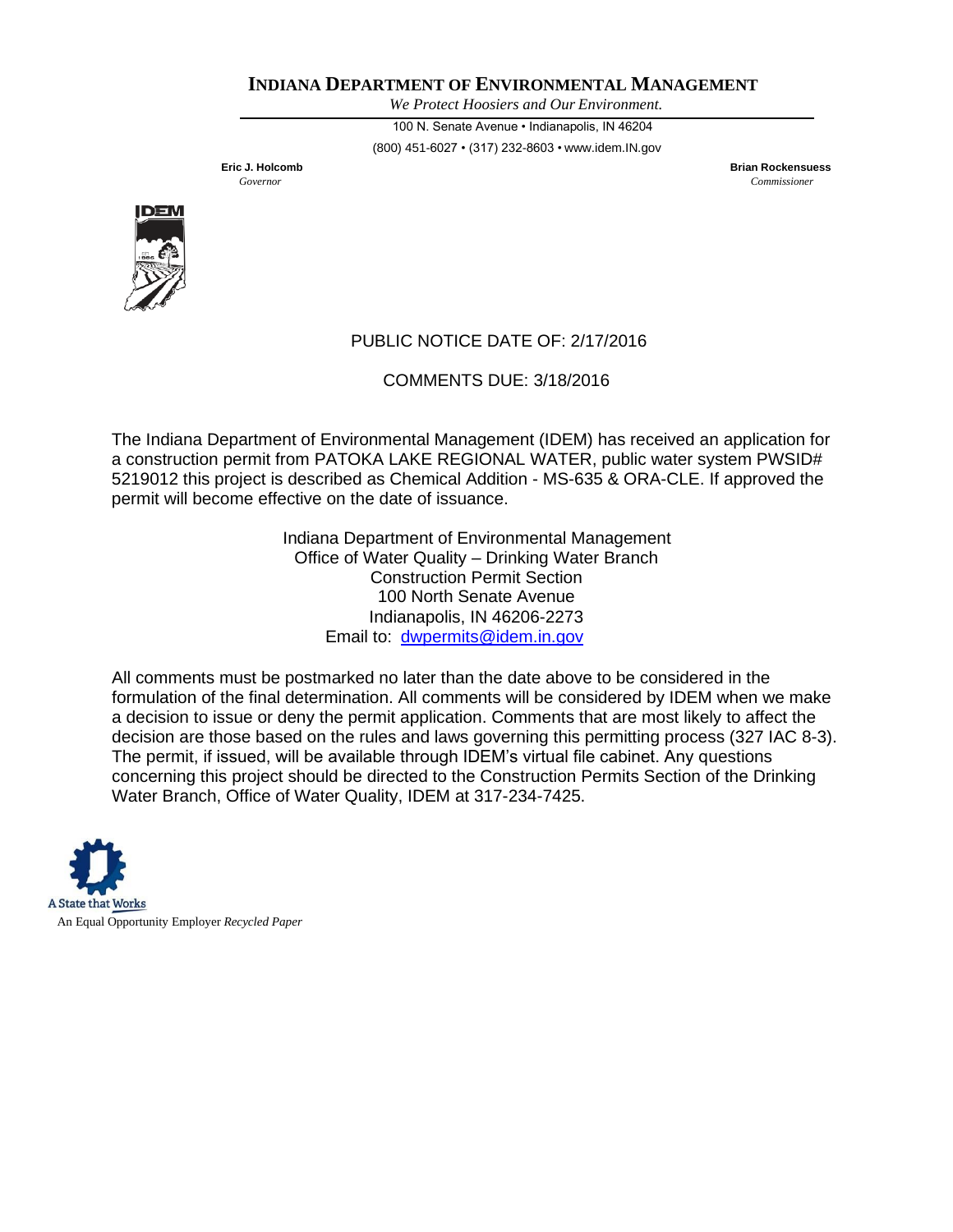*We Protect Hoosiers and Our Environment.*

100 N. Senate Avenue • Indianapolis, IN 46204 (800) 451-6027 • (317) 232-8603 • [www.idem.IN.gov](http://www.idem.in.gov/)

**Eric J. Holcomb Brian Rockensuess** *Governor Commissioner*



# PUBLIC NOTICE DATE OF: 2/17/2016

COMMENTS DUE: 3/18/2016

The Indiana Department of Environmental Management (IDEM) has received an application for a construction permit from PATOKA LAKE REGIONAL WATER, public water system PWSID# 5219012 this project is described as Chemical Addition - MS-635 & ORA-CLE. If approved the permit will become effective on the date of issuance.

> Indiana Department of Environmental Management Office of Water Quality – Drinking Water Branch Construction Permit Section 100 North Senate Avenue Indianapolis, IN 46206-2273 Email to: [dwpermits@idem.in.gov](mailto:dwpermits@idem.in.gov)

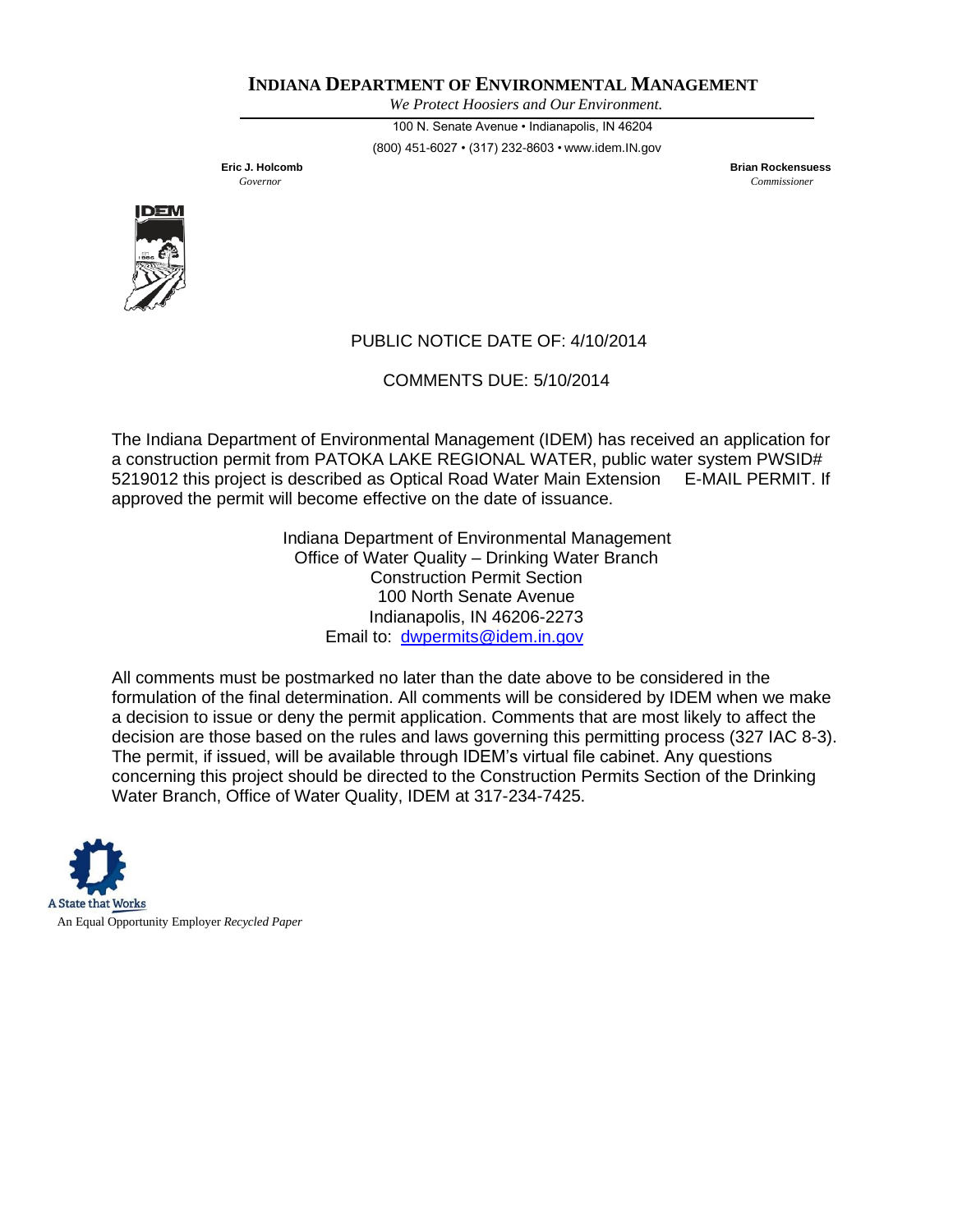*We Protect Hoosiers and Our Environment.*

100 N. Senate Avenue • Indianapolis, IN 46204 (800) 451-6027 • (317) 232-8603 • [www.idem.IN.gov](http://www.idem.in.gov/)

**Eric J. Holcomb Brian Rockensuess** *Governor Commissioner*



# PUBLIC NOTICE DATE OF: 4/10/2014

COMMENTS DUE: 5/10/2014

The Indiana Department of Environmental Management (IDEM) has received an application for a construction permit from PATOKA LAKE REGIONAL WATER, public water system PWSID# 5219012 this project is described as Optical Road Water Main Extension E-MAIL PERMIT. If approved the permit will become effective on the date of issuance.

> Indiana Department of Environmental Management Office of Water Quality – Drinking Water Branch Construction Permit Section 100 North Senate Avenue Indianapolis, IN 46206-2273 Email to: [dwpermits@idem.in.gov](mailto:dwpermits@idem.in.gov)

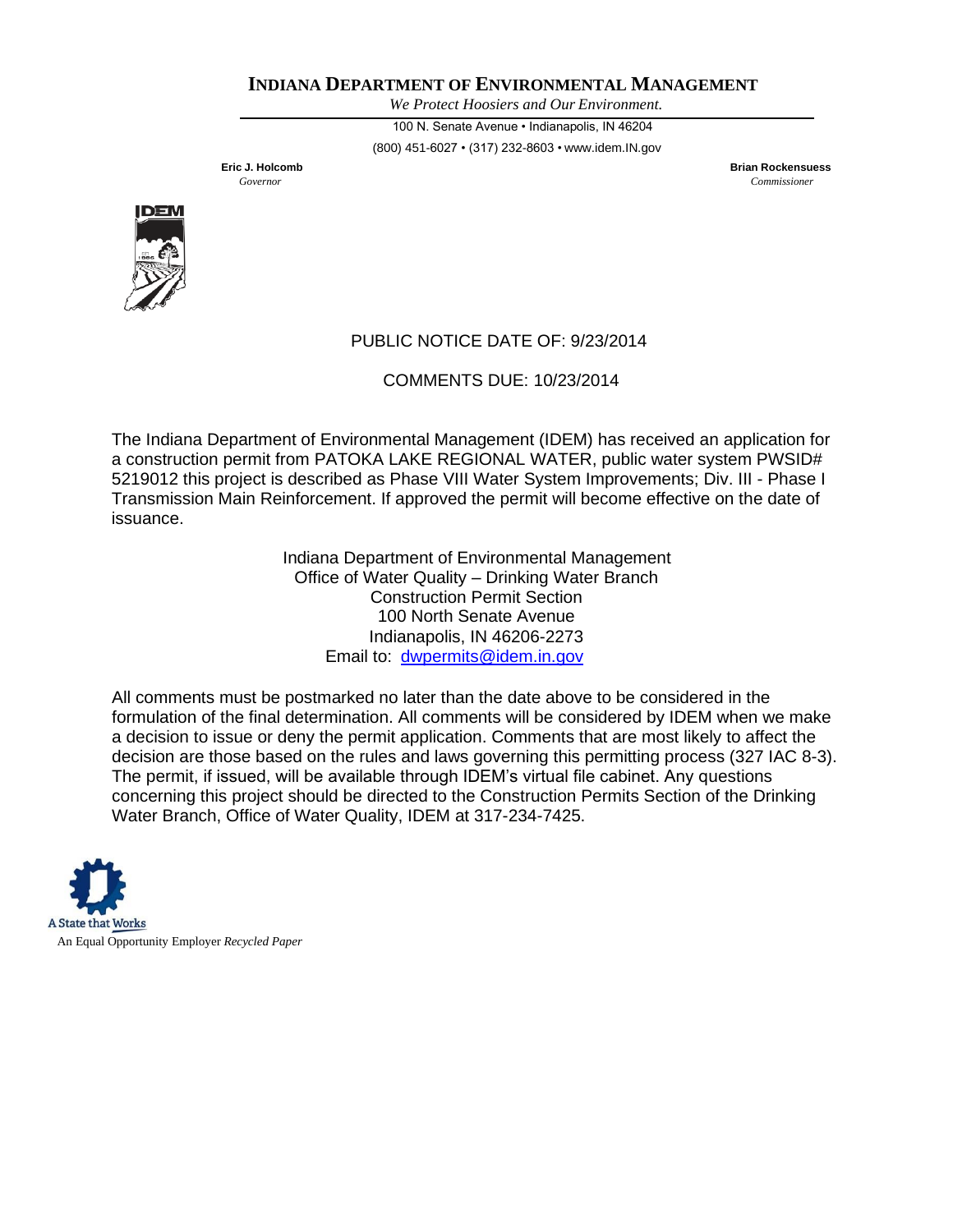*We Protect Hoosiers and Our Environment.*

100 N. Senate Avenue • Indianapolis, IN 46204 (800) 451-6027 • (317) 232-8603 • [www.idem.IN.gov](http://www.idem.in.gov/)

**Eric J. Holcomb Brian Rockensuess** *Governor Commissioner*



# PUBLIC NOTICE DATE OF: 9/23/2014

COMMENTS DUE: 10/23/2014

The Indiana Department of Environmental Management (IDEM) has received an application for a construction permit from PATOKA LAKE REGIONAL WATER, public water system PWSID# 5219012 this project is described as Phase VIII Water System Improvements; Div. III - Phase I Transmission Main Reinforcement. If approved the permit will become effective on the date of issuance.

> Indiana Department of Environmental Management Office of Water Quality – Drinking Water Branch Construction Permit Section 100 North Senate Avenue Indianapolis, IN 46206-2273 Email to: [dwpermits@idem.in.gov](mailto:dwpermits@idem.in.gov)

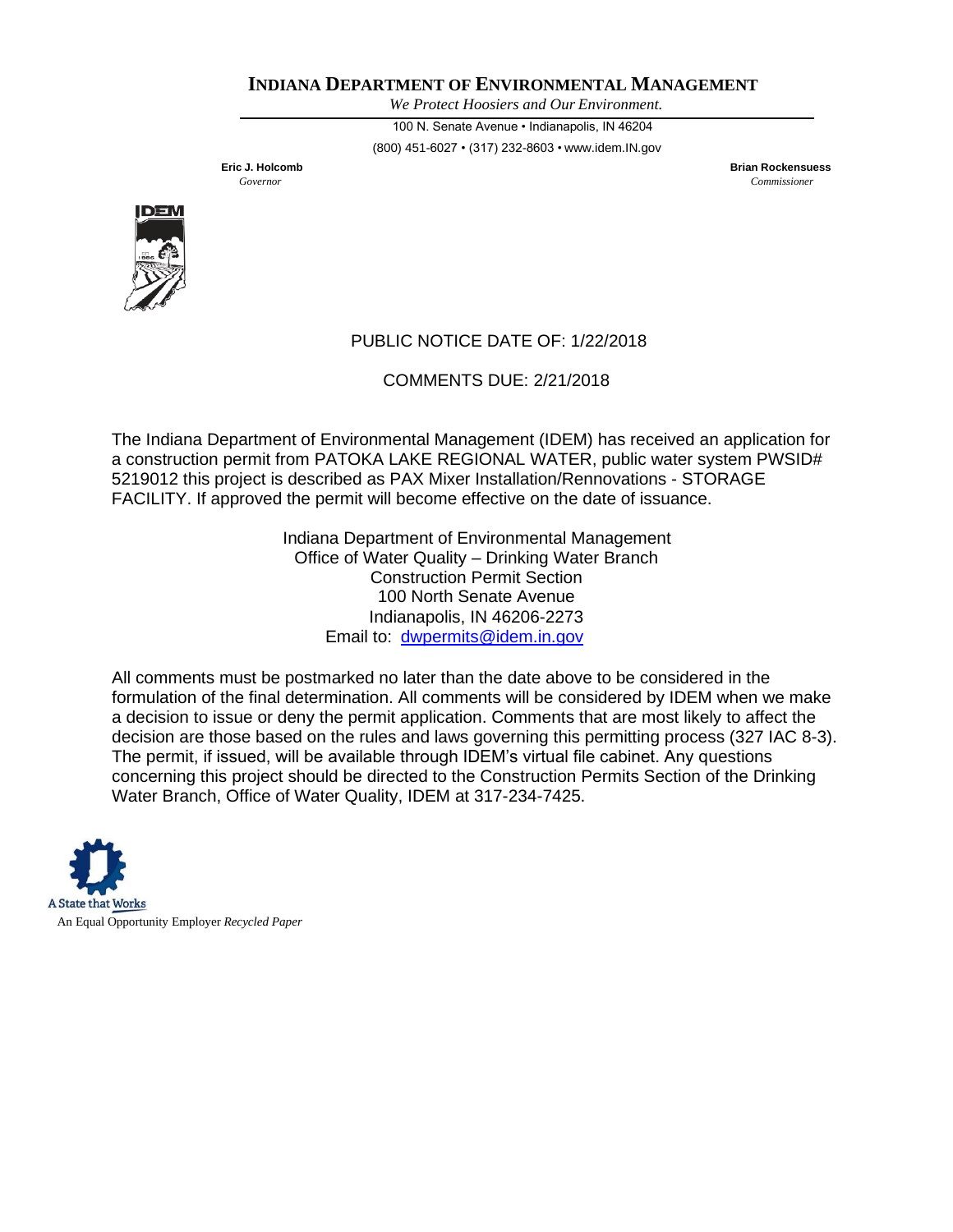*We Protect Hoosiers and Our Environment.*

100 N. Senate Avenue • Indianapolis, IN 46204 (800) 451-6027 • (317) 232-8603 • [www.idem.IN.gov](http://www.idem.in.gov/)

**Eric J. Holcomb Brian Rockensuess** *Governor Commissioner*



# PUBLIC NOTICE DATE OF: 1/22/2018

COMMENTS DUE: 2/21/2018

The Indiana Department of Environmental Management (IDEM) has received an application for a construction permit from PATOKA LAKE REGIONAL WATER, public water system PWSID# 5219012 this project is described as PAX Mixer Installation/Rennovations - STORAGE FACILITY. If approved the permit will become effective on the date of issuance.

> Indiana Department of Environmental Management Office of Water Quality – Drinking Water Branch Construction Permit Section 100 North Senate Avenue Indianapolis, IN 46206-2273 Email to: [dwpermits@idem.in.gov](mailto:dwpermits@idem.in.gov)